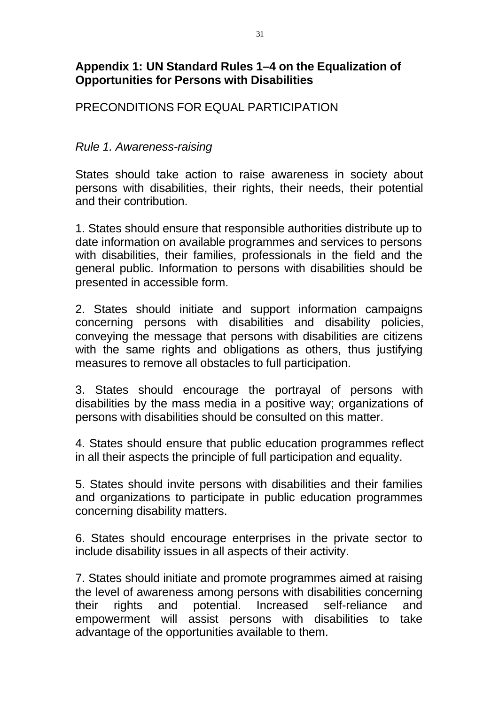# **Appendix 1: UN Standard Rules 1–4 on the Equalization of Opportunities for Persons with Disabilities**

# PRECONDITIONS FOR EQUAL PARTICIPATION

#### *Rule 1. Awareness-raising*

States should take action to raise awareness in society about persons with disabilities, their rights, their needs, their potential and their contribution.

1. States should ensure that responsible authorities distribute up to date information on available programmes and services to persons with disabilities, their families, professionals in the field and the general public. Information to persons with disabilities should be presented in accessible form.

2. States should initiate and support information campaigns concerning persons with disabilities and disability policies, conveying the message that persons with disabilities are citizens with the same rights and obligations as others, thus justifying measures to remove all obstacles to full participation.

3. States should encourage the portrayal of persons with disabilities by the mass media in a positive way; organizations of persons with disabilities should be consulted on this matter.

4. States should ensure that public education programmes reflect in all their aspects the principle of full participation and equality.

5. States should invite persons with disabilities and their families and organizations to participate in public education programmes concerning disability matters.

6. States should encourage enterprises in the private sector to include disability issues in all aspects of their activity.

7. States should initiate and promote programmes aimed at raising the level of awareness among persons with disabilities concerning their rights and potential. Increased self-reliance and empowerment will assist persons with disabilities to take advantage of the opportunities available to them.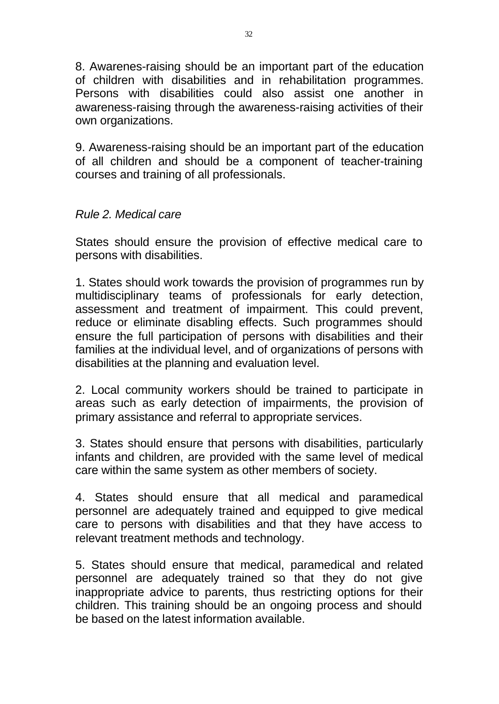8. Awarenes-raising should be an important part of the education of children with disabilities and in rehabilitation programmes. Persons with disabilities could also assist one another in awareness-raising through the awareness-raising activities of their own organizations.

9. Awareness-raising should be an important part of the education of all children and should be a component of teacher-training courses and training of all professionals.

## *Rule 2. Medical care*

States should ensure the provision of effective medical care to persons with disabilities.

1. States should work towards the provision of programmes run by multidisciplinary teams of professionals for early detection, assessment and treatment of impairment. This could prevent, reduce or eliminate disabling effects. Such programmes should ensure the full participation of persons with disabilities and their families at the individual level, and of organizations of persons with disabilities at the planning and evaluation level.

2. Local community workers should be trained to participate in areas such as early detection of impairments, the provision of primary assistance and referral to appropriate services.

3. States should ensure that persons with disabilities, particularly infants and children, are provided with the same level of medical care within the same system as other members of society.

4. States should ensure that all medical and paramedical personnel are adequately trained and equipped to give medical care to persons with disabilities and that they have access to relevant treatment methods and technology.

5. States should ensure that medical, paramedical and related personnel are adequately trained so that they do not give inappropriate advice to parents, thus restricting options for their children. This training should be an ongoing process and should be based on the latest information available.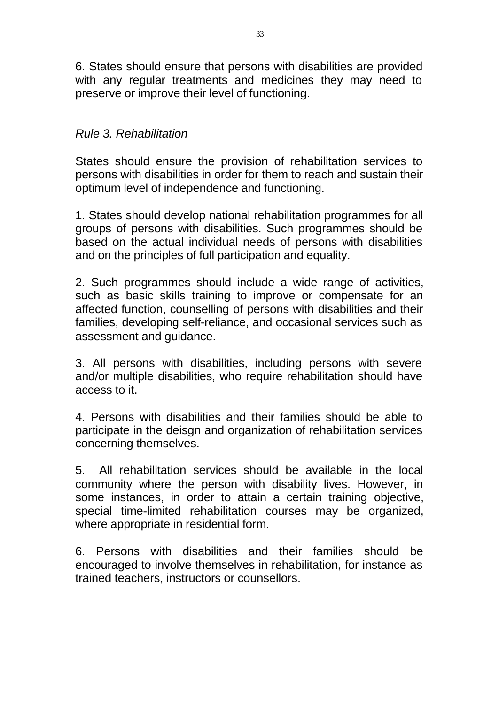6. States should ensure that persons with disabilities are provided with any regular treatments and medicines they may need to preserve or improve their level of functioning.

## *Rule 3. Rehabilitation*

States should ensure the provision of rehabilitation services to persons with disabilities in order for them to reach and sustain their optimum level of independence and functioning.

1. States should develop national rehabilitation programmes for all groups of persons with disabilities. Such programmes should be based on the actual individual needs of persons with disabilities and on the principles of full participation and equality.

2. Such programmes should include a wide range of activities, such as basic skills training to improve or compensate for an affected function, counselling of persons with disabilities and their families, developing self-reliance, and occasional services such as assessment and guidance.

3. All persons with disabilities, including persons with severe and/or multiple disabilities, who require rehabilitation should have access to it.

4. Persons with disabilities and their families should be able to participate in the deisgn and organization of rehabilitation services concerning themselves.

5. All rehabilitation services should be available in the local community where the person with disability lives. However, in some instances, in order to attain a certain training objective, special time-limited rehabilitation courses may be organized, where appropriate in residential form.

6. Persons with disabilities and their families should be encouraged to involve themselves in rehabilitation, for instance as trained teachers, instructors or counsellors.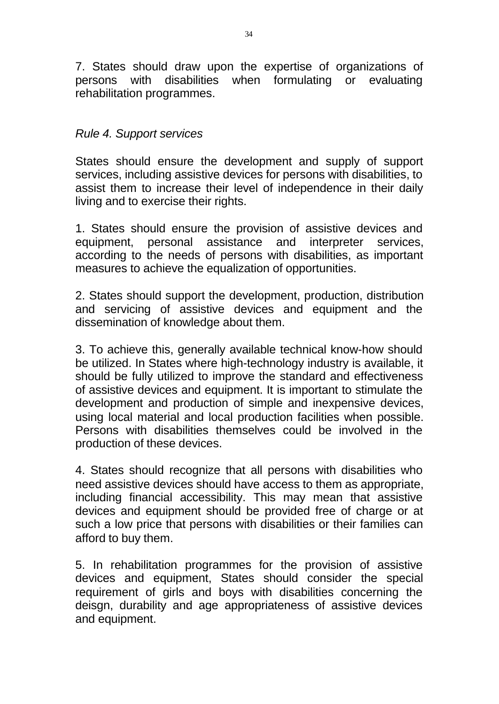7. States should draw upon the expertise of organizations of persons with disabilities when formulating or evaluating rehabilitation programmes.

#### *Rule 4. Support services*

States should ensure the development and supply of support services, including assistive devices for persons with disabilities, to assist them to increase their level of independence in their daily living and to exercise their rights.

1. States should ensure the provision of assistive devices and equipment, personal assistance and interpreter services, according to the needs of persons with disabilities, as important measures to achieve the equalization of opportunities.

2. States should support the development, production, distribution and servicing of assistive devices and equipment and the dissemination of knowledge about them.

3. To achieve this, generally available technical know-how should be utilized. In States where high-technology industry is available, it should be fully utilized to improve the standard and effectiveness of assistive devices and equipment. It is important to stimulate the development and production of simple and inexpensive devices, using local material and local production facilities when possible. Persons with disabilities themselves could be involved in the production of these devices.

4. States should recognize that all persons with disabilities who need assistive devices should have access to them as appropriate, including financial accessibility. This may mean that assistive devices and equipment should be provided free of charge or at such a low price that persons with disabilities or their families can afford to buy them.

5. In rehabilitation programmes for the provision of assistive devices and equipment, States should consider the special requirement of girls and boys with disabilities concerning the deisgn, durability and age appropriateness of assistive devices and equipment.